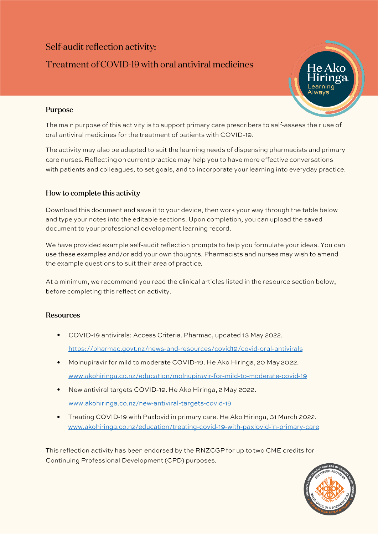# Self-audit reflection activity: Treatment of COVID-19 with oral antiviral medicines



## Purpose

The main purpose of this activity is to support primary care prescribers to self-assess their use of oral antiviral medicines for the treatment of patients with COVID-19.

The activity may also be adapted to suit the learning needs of dispensing pharmacists and primary care nurses. Reflecting on current practice may help you to have more effective conversations with patients and colleagues, to set goals, and to incorporate your learning into everyday practice.

### How to complete this activity

Download this document and save it to your device, then work your way through the table below and type your notes into the editable sections. Upon completion, you can upload the saved document to your professional development learning record.

We have provided example self-audit reflection prompts to help you formulate your ideas. You can use these examples and/or add your own thoughts. Pharmacists and nurses may wish to amend the example questions to suit their area of practice.

At a minimum, we recommend you read the clinical articles listed in the resource section below, before completing this reflection activity.

### **Resources**

- COVID-19 antivirals: Access Criteria. Pharmac, updated 13 May 2022. https://pharmac.govt.nz/news-and-resources/covid19/covid-oral-antivirals
- Molnupiravir for mild to moderate COVID-19. He Ako Hiringa, 20 May 2022. www.akohiringa.co.nz/education/molnupiravir-for-mild-to-moderate-covid-19
- New antiviral targets COVID-19. He Ako Hiringa, 2 May 2022. • www.akohiringa.co.nz/new-antiviral-targets-covid-19
- Treating COVID-19 with Paxlovid in primary care. He Ako Hiringa, 31 March 2022. •www.akohiringa.co.nz/education/treating-covid-19-with-paxlovid-in-primary-care

This reflection activity has been endorsed by the RNZCGP for up to two CME credits for Continuing Professional Development (CPD) purposes.

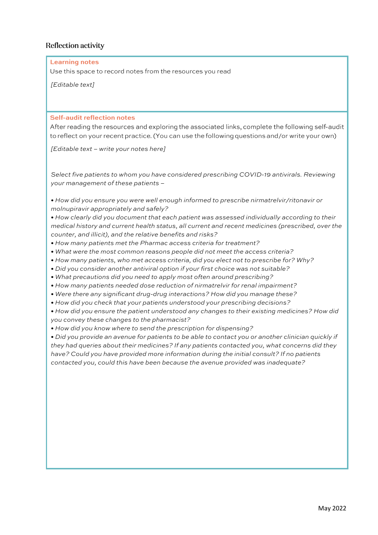#### **Reflection activity**

**Learning notes** 

Use this space to record notes from the resources you read

*[Editable text – write your notes here]* 

*Select five patients to whom you have considered prescribing COVID-19 antivirals. Reviewing your management of these patients –* 

*• How did you ensure you were well enough informed to prescribe nirmatrelvir/ritonavir or molnupiravir appropriately and safely?* 

*• How clearly did you document that each patient was assessed individually according to their medical history and current health status, all current and recent medicines (prescribed, over the counter, and illicit), and the relative benefits and risks?* 

- *How many patients met the Pharmac access criteria for treatment?*
- *What were the most common reasons people did not meet the access criteria?*
- *How many patients, who met access criteria, did you elect not to prescribe for? Why?*
- *Did you consider another antiviral option if your first choice was not suitable?*
- *What precautions did you need to apply most often around prescribing?*
- *How many patients needed dose reduction of nirmatrelvir for renal impairment?*
- *Were there any significant drug-drug interactions? How did you manage these?*
- *How did you check that your patients understood your prescribing decisions?*

*• How did you ensure the patient understood any changes to their existing medicines? How did you convey these changes to the pharmacist?* 

*• How did you know where to send the prescription for dispensing?* 

(Editable text)<br>
Self-audit reflection notes<br>
Self-audit reflection notes<br>
Africasof is the second on a change the second only the second only at the following control on the following control<br>
Control text of the research *• Did you provide an avenue for patients to be able to contact you or another clinician quickly if they had queries about their medicines? If any patients contacted you, what concerns did they have? Could you have provided more information during the initial consult? If no patients contacted you, could this have been because the avenue provided was inadequate?*